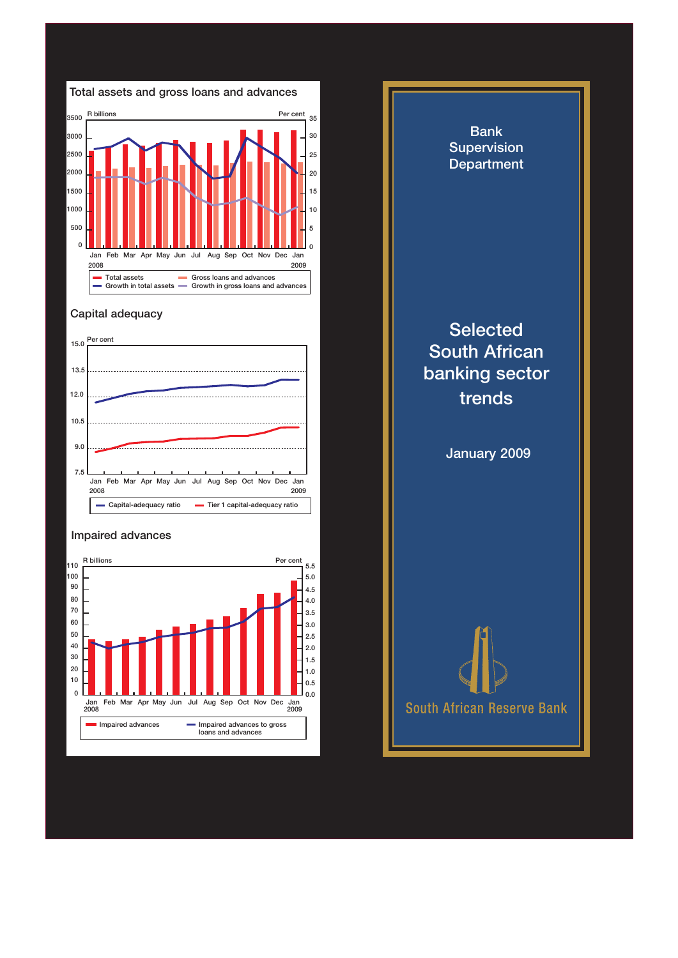

## Capital adequacy



## Impaired advances